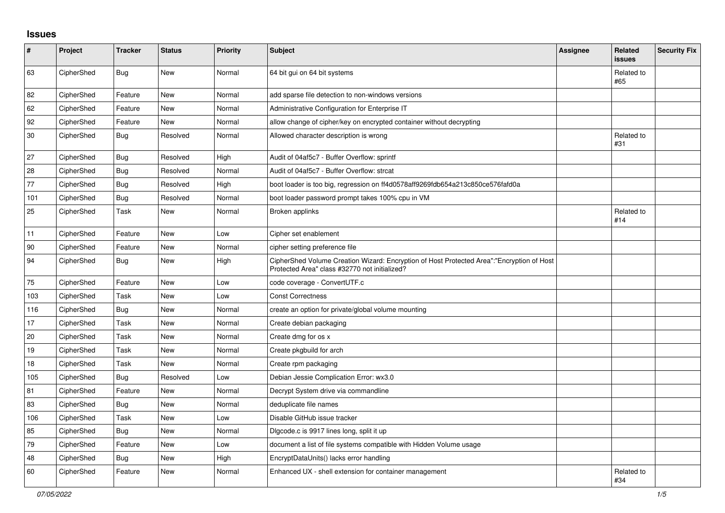## **Issues**

| $\sharp$ | Project    | <b>Tracker</b> | <b>Status</b> | <b>Priority</b> | <b>Subject</b>                                                                                                                             | Assignee | Related<br><b>issues</b> | <b>Security Fix</b> |
|----------|------------|----------------|---------------|-----------------|--------------------------------------------------------------------------------------------------------------------------------------------|----------|--------------------------|---------------------|
| 63       | CipherShed | <b>Bug</b>     | New           | Normal          | 64 bit gui on 64 bit systems                                                                                                               |          | Related to<br>#65        |                     |
| 82       | CipherShed | Feature        | <b>New</b>    | Normal          | add sparse file detection to non-windows versions                                                                                          |          |                          |                     |
| 62       | CipherShed | Feature        | New           | Normal          | Administrative Configuration for Enterprise IT                                                                                             |          |                          |                     |
| 92       | CipherShed | Feature        | New           | Normal          | allow change of cipher/key on encrypted container without decrypting                                                                       |          |                          |                     |
| 30       | CipherShed | <b>Bug</b>     | Resolved      | Normal          | Allowed character description is wrong                                                                                                     |          | Related to<br>#31        |                     |
| 27       | CipherShed | Bug            | Resolved      | High            | Audit of 04af5c7 - Buffer Overflow: sprintf                                                                                                |          |                          |                     |
| 28       | CipherShed | <b>Bug</b>     | Resolved      | Normal          | Audit of 04af5c7 - Buffer Overflow: strcat                                                                                                 |          |                          |                     |
| 77       | CipherShed | Bug            | Resolved      | High            | boot loader is too big, regression on ff4d0578aff9269fdb654a213c850ce576fafd0a                                                             |          |                          |                     |
| 101      | CipherShed | <b>Bug</b>     | Resolved      | Normal          | boot loader password prompt takes 100% cpu in VM                                                                                           |          |                          |                     |
| 25       | CipherShed | Task           | New           | Normal          | Broken applinks                                                                                                                            |          | Related to<br>#14        |                     |
| 11       | CipherShed | Feature        | <b>New</b>    | Low             | Cipher set enablement                                                                                                                      |          |                          |                     |
| 90       | CipherShed | Feature        | New           | Normal          | cipher setting preference file                                                                                                             |          |                          |                     |
| 94       | CipherShed | <b>Bug</b>     | New           | High            | CipherShed Volume Creation Wizard: Encryption of Host Protected Area":"Encryption of Host<br>Protected Area" class #32770 not initialized? |          |                          |                     |
| 75       | CipherShed | Feature        | New           | Low             | code coverage - ConvertUTF.c                                                                                                               |          |                          |                     |
| 103      | CipherShed | Task           | New           | Low             | <b>Const Correctness</b>                                                                                                                   |          |                          |                     |
| 116      | CipherShed | <b>Bug</b>     | New           | Normal          | create an option for private/global volume mounting                                                                                        |          |                          |                     |
| 17       | CipherShed | Task           | New           | Normal          | Create debian packaging                                                                                                                    |          |                          |                     |
| 20       | CipherShed | Task           | New           | Normal          | Create dmg for os x                                                                                                                        |          |                          |                     |
| 19       | CipherShed | Task           | <b>New</b>    | Normal          | Create pkgbuild for arch                                                                                                                   |          |                          |                     |
| 18       | CipherShed | Task           | <b>New</b>    | Normal          | Create rpm packaging                                                                                                                       |          |                          |                     |
| 105      | CipherShed | <b>Bug</b>     | Resolved      | Low             | Debian Jessie Complication Error: wx3.0                                                                                                    |          |                          |                     |
| 81       | CipherShed | Feature        | New           | Normal          | Decrypt System drive via commandline                                                                                                       |          |                          |                     |
| 83       | CipherShed | Bug            | New           | Normal          | deduplicate file names                                                                                                                     |          |                          |                     |
| 106      | CipherShed | Task           | <b>New</b>    | Low             | Disable GitHub issue tracker                                                                                                               |          |                          |                     |
| 85       | CipherShed | <b>Bug</b>     | <b>New</b>    | Normal          | Digcode.c is 9917 lines long, split it up                                                                                                  |          |                          |                     |
| 79       | CipherShed | Feature        | New           | Low             | document a list of file systems compatible with Hidden Volume usage                                                                        |          |                          |                     |
| 48       | CipherShed | Bug            | New           | High            | EncryptDataUnits() lacks error handling                                                                                                    |          |                          |                     |
| 60       | CipherShed | Feature        | New           | Normal          | Enhanced UX - shell extension for container management                                                                                     |          | Related to<br>#34        |                     |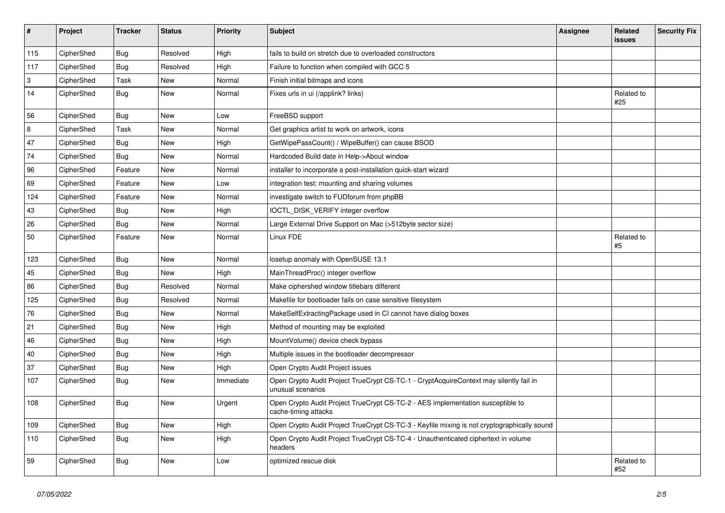| $\vert$ #                 | Project    | <b>Tracker</b> | <b>Status</b> | <b>Priority</b> | <b>Subject</b>                                                                                              | <b>Assignee</b> | <b>Related</b><br>issues | <b>Security Fix</b> |
|---------------------------|------------|----------------|---------------|-----------------|-------------------------------------------------------------------------------------------------------------|-----------------|--------------------------|---------------------|
| 115                       | CipherShed | Bug            | Resolved      | High            | fails to build on stretch due to overloaded constructors                                                    |                 |                          |                     |
| 117                       | CipherShed | Bug            | Resolved      | High            | Failure to function when compiled with GCC 5                                                                |                 |                          |                     |
| $\ensuremath{\mathsf{3}}$ | CipherShed | Task           | <b>New</b>    | Normal          | Finish initial bitmaps and icons                                                                            |                 |                          |                     |
| 14                        | CipherShed | Bug            | <b>New</b>    | Normal          | Fixes urls in ui (/applink? links)                                                                          |                 | Related to<br>#25        |                     |
| 56                        | CipherShed | <b>Bug</b>     | New           | Low             | FreeBSD support                                                                                             |                 |                          |                     |
| 8                         | CipherShed | Task           | <b>New</b>    | Normal          | Get graphics artist to work on artwork, icons                                                               |                 |                          |                     |
| 47                        | CipherShed | <b>Bug</b>     | <b>New</b>    | High            | GetWipePassCount() / WipeBuffer() can cause BSOD                                                            |                 |                          |                     |
| 74                        | CipherShed | <b>Bug</b>     | New           | Normal          | Hardcoded Build date in Help->About window                                                                  |                 |                          |                     |
| 96                        | CipherShed | Feature        | New           | Normal          | installer to incorporate a post-installation quick-start wizard                                             |                 |                          |                     |
| 69                        | CipherShed | Feature        | New           | Low             | integration test: mounting and sharing volumes                                                              |                 |                          |                     |
| 124                       | CipherShed | Feature        | New           | Normal          | investigate switch to FUDforum from phpBB                                                                   |                 |                          |                     |
| 43                        | CipherShed | <b>Bug</b>     | New           | High            | IOCTL_DISK_VERIFY integer overflow                                                                          |                 |                          |                     |
| 26                        | CipherShed | <b>Bug</b>     | New           | Normal          | Large External Drive Support on Mac (>512byte sector size)                                                  |                 |                          |                     |
| 50                        | CipherShed | Feature        | New           | Normal          | Linux FDE                                                                                                   |                 | Related to<br>#5         |                     |
| 123                       | CipherShed | <b>Bug</b>     | <b>New</b>    | Normal          | losetup anomaly with OpenSUSE 13.1                                                                          |                 |                          |                     |
| 45                        | CipherShed | <b>Bug</b>     | <b>New</b>    | High            | MainThreadProc() integer overflow                                                                           |                 |                          |                     |
| 86                        | CipherShed | <b>Bug</b>     | Resolved      | Normal          | Make ciphershed window titlebars different                                                                  |                 |                          |                     |
| 125                       | CipherShed | Bug            | Resolved      | Normal          | Makefile for bootloader fails on case sensitive filesystem                                                  |                 |                          |                     |
| 76                        | CipherShed | <b>Bug</b>     | New           | Normal          | MakeSelfExtractingPackage used in CI cannot have dialog boxes                                               |                 |                          |                     |
| 21                        | CipherShed | <b>Bug</b>     | <b>New</b>    | High            | Method of mounting may be exploited                                                                         |                 |                          |                     |
| 46                        | CipherShed | <b>Bug</b>     | <b>New</b>    | High            | MountVolume() device check bypass                                                                           |                 |                          |                     |
| 40                        | CipherShed | Bug            | New           | High            | Multiple issues in the bootloader decompressor                                                              |                 |                          |                     |
| 37                        | CipherShed | Bug            | New           | High            | Open Crypto Audit Project issues                                                                            |                 |                          |                     |
| 107                       | CipherShed | Bug            | New           | Immediate       | Open Crypto Audit Project TrueCrypt CS-TC-1 - CryptAcquireContext may silently fail in<br>unusual scenarios |                 |                          |                     |
| 108                       | CipherShed | <b>Bug</b>     | <b>New</b>    | Urgent          | Open Crypto Audit Project TrueCrypt CS-TC-2 - AES implementation susceptible to<br>cache-timing attacks     |                 |                          |                     |
| 109                       | CipherShed | <b>Bug</b>     | New           | High            | Open Crypto Audit Project TrueCrypt CS-TC-3 - Keyfile mixing is not cryptographically sound                 |                 |                          |                     |
| 110                       | CipherShed | <b>Bug</b>     | New           | High            | Open Crypto Audit Project TrueCrypt CS-TC-4 - Unauthenticated ciphertext in volume<br>headers               |                 |                          |                     |
| 59                        | CipherShed | <b>Bug</b>     | New           | Low             | optimized rescue disk                                                                                       |                 | Related to<br>#52        |                     |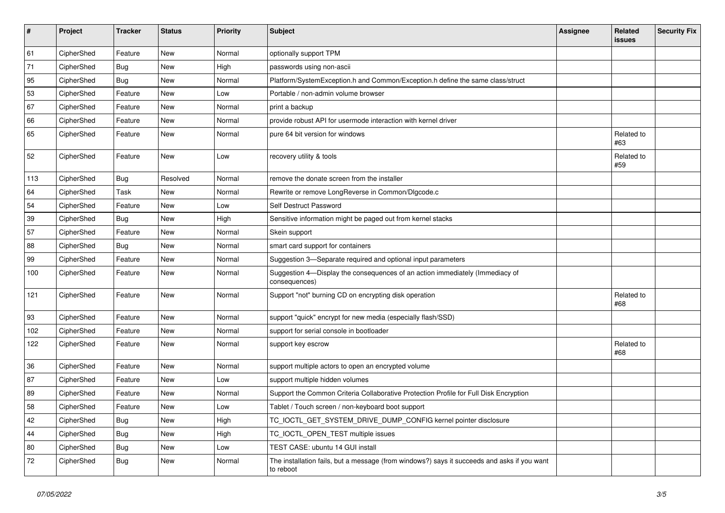| #   | Project    | <b>Tracker</b> | <b>Status</b> | Priority | <b>Subject</b>                                                                                           | <b>Assignee</b> | <b>Related</b><br>issues | <b>Security Fix</b> |
|-----|------------|----------------|---------------|----------|----------------------------------------------------------------------------------------------------------|-----------------|--------------------------|---------------------|
| 61  | CipherShed | Feature        | New           | Normal   | optionally support TPM                                                                                   |                 |                          |                     |
| 71  | CipherShed | Bug            | New           | High     | passwords using non-ascii                                                                                |                 |                          |                     |
| 95  | CipherShed | <b>Bug</b>     | New           | Normal   | Platform/SystemException.h and Common/Exception.h define the same class/struct                           |                 |                          |                     |
| 53  | CipherShed | Feature        | New           | Low      | Portable / non-admin volume browser                                                                      |                 |                          |                     |
| 67  | CipherShed | Feature        | New           | Normal   | print a backup                                                                                           |                 |                          |                     |
| 66  | CipherShed | Feature        | New           | Normal   | provide robust API for usermode interaction with kernel driver                                           |                 |                          |                     |
| 65  | CipherShed | Feature        | New           | Normal   | pure 64 bit version for windows                                                                          |                 | Related to<br>#63        |                     |
| 52  | CipherShed | Feature        | New           | Low      | recovery utility & tools                                                                                 |                 | Related to<br>#59        |                     |
| 113 | CipherShed | <b>Bug</b>     | Resolved      | Normal   | remove the donate screen from the installer                                                              |                 |                          |                     |
| 64  | CipherShed | Task           | New           | Normal   | Rewrite or remove LongReverse in Common/Dlgcode.c                                                        |                 |                          |                     |
| 54  | CipherShed | Feature        | New           | Low      | Self Destruct Password                                                                                   |                 |                          |                     |
| 39  | CipherShed | <b>Bug</b>     | New           | High     | Sensitive information might be paged out from kernel stacks                                              |                 |                          |                     |
| 57  | CipherShed | Feature        | New           | Normal   | Skein support                                                                                            |                 |                          |                     |
| 88  | CipherShed | Bug            | New           | Normal   | smart card support for containers                                                                        |                 |                          |                     |
| 99  | CipherShed | Feature        | New           | Normal   | Suggestion 3-Separate required and optional input parameters                                             |                 |                          |                     |
| 100 | CipherShed | Feature        | New           | Normal   | Suggestion 4-Display the consequences of an action immediately (Immediacy of<br>consequences)            |                 |                          |                     |
| 121 | CipherShed | Feature        | New           | Normal   | Support "not" burning CD on encrypting disk operation                                                    |                 | Related to<br>#68        |                     |
| 93  | CipherShed | Feature        | New           | Normal   | support "quick" encrypt for new media (especially flash/SSD)                                             |                 |                          |                     |
| 102 | CipherShed | Feature        | New           | Normal   | support for serial console in bootloader                                                                 |                 |                          |                     |
| 122 | CipherShed | Feature        | New           | Normal   | support key escrow                                                                                       |                 | Related to<br>#68        |                     |
| 36  | CipherShed | Feature        | New           | Normal   | support multiple actors to open an encrypted volume                                                      |                 |                          |                     |
| 87  | CipherShed | Feature        | New           | Low      | support multiple hidden volumes                                                                          |                 |                          |                     |
| 89  | CipherShed | Feature        | New           | Normal   | Support the Common Criteria Collaborative Protection Profile for Full Disk Encryption                    |                 |                          |                     |
| 58  | CipherShed | Feature        | New           | Low      | Tablet / Touch screen / non-keyboard boot support                                                        |                 |                          |                     |
| 42  | CipherShed | Bug            | New           | High     | TC_IOCTL_GET_SYSTEM_DRIVE_DUMP_CONFIG kernel pointer disclosure                                          |                 |                          |                     |
| 44  | CipherShed | <b>Bug</b>     | New           | High     | TC_IOCTL_OPEN_TEST multiple issues                                                                       |                 |                          |                     |
| 80  | CipherShed | <b>Bug</b>     | New           | Low      | TEST CASE: ubuntu 14 GUI install                                                                         |                 |                          |                     |
| 72  | CipherShed | <b>Bug</b>     | New           | Normal   | The installation fails, but a message (from windows?) says it succeeds and asks if you want<br>to reboot |                 |                          |                     |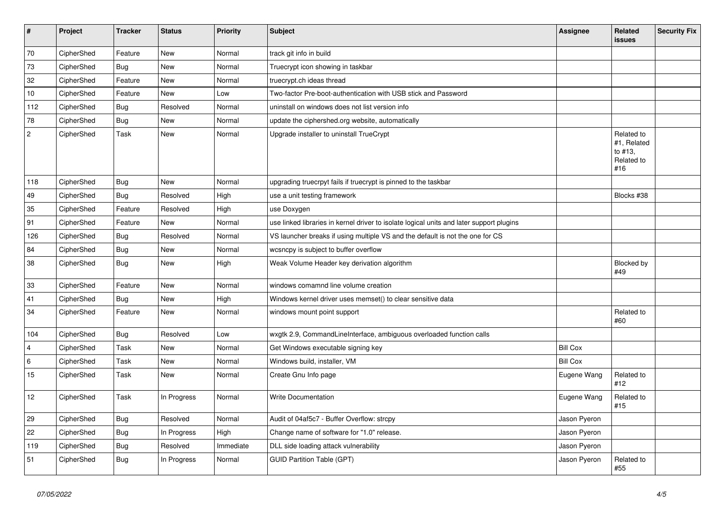| $\vert$ #      | Project    | <b>Tracker</b> | <b>Status</b> | <b>Priority</b> | <b>Subject</b>                                                                           | <b>Assignee</b> | Related<br><b>issues</b>                                  | <b>Security Fix</b> |
|----------------|------------|----------------|---------------|-----------------|------------------------------------------------------------------------------------------|-----------------|-----------------------------------------------------------|---------------------|
| 70             | CipherShed | Feature        | New           | Normal          | track git info in build                                                                  |                 |                                                           |                     |
| 73             | CipherShed | <b>Bug</b>     | <b>New</b>    | Normal          | Truecrypt icon showing in taskbar                                                        |                 |                                                           |                     |
| 32             | CipherShed | Feature        | <b>New</b>    | Normal          | truecrypt.ch ideas thread                                                                |                 |                                                           |                     |
| 10             | CipherShed | Feature        | New           | Low             | Two-factor Pre-boot-authentication with USB stick and Password                           |                 |                                                           |                     |
| 112            | CipherShed | <b>Bug</b>     | Resolved      | Normal          | uninstall on windows does not list version info                                          |                 |                                                           |                     |
| 78             | CipherShed | <b>Bug</b>     | New           | Normal          | update the ciphershed.org website, automatically                                         |                 |                                                           |                     |
| $\overline{c}$ | CipherShed | Task           | <b>New</b>    | Normal          | Upgrade installer to uninstall TrueCrypt                                                 |                 | Related to<br>#1, Related<br>to #13,<br>Related to<br>#16 |                     |
| 118            | CipherShed | <b>Bug</b>     | <b>New</b>    | Normal          | upgrading truecrpyt fails if truecrypt is pinned to the taskbar                          |                 |                                                           |                     |
| 49             | CipherShed | <b>Bug</b>     | Resolved      | High            | use a unit testing framework                                                             |                 | Blocks #38                                                |                     |
| 35             | CipherShed | Feature        | Resolved      | High            | use Doxygen                                                                              |                 |                                                           |                     |
| 91             | CipherShed | Feature        | <b>New</b>    | Normal          | use linked libraries in kernel driver to isolate logical units and later support plugins |                 |                                                           |                     |
| 126            | CipherShed | <b>Bug</b>     | Resolved      | Normal          | VS launcher breaks if using multiple VS and the default is not the one for CS            |                 |                                                           |                     |
| 84             | CipherShed | <b>Bug</b>     | <b>New</b>    | Normal          | wcsncpy is subject to buffer overflow                                                    |                 |                                                           |                     |
| 38             | CipherShed | Bug            | <b>New</b>    | High            | Weak Volume Header key derivation algorithm                                              |                 | Blocked by<br>#49                                         |                     |
| 33             | CipherShed | Feature        | <b>New</b>    | Normal          | windows comamnd line volume creation                                                     |                 |                                                           |                     |
| 41             | CipherShed | <b>Bug</b>     | New           | High            | Windows kernel driver uses memset() to clear sensitive data                              |                 |                                                           |                     |
| 34             | CipherShed | Feature        | New           | Normal          | windows mount point support                                                              |                 | Related to<br>#60                                         |                     |
| 104            | CipherShed | Bug            | Resolved      | Low             | wxgtk 2.9, CommandLineInterface, ambiguous overloaded function calls                     |                 |                                                           |                     |
| $\overline{4}$ | CipherShed | Task           | <b>New</b>    | Normal          | Get Windows executable signing key                                                       | <b>Bill Cox</b> |                                                           |                     |
| 6              | CipherShed | Task           | <b>New</b>    | Normal          | Windows build, installer, VM                                                             | <b>Bill Cox</b> |                                                           |                     |
| 15             | CipherShed | Task           | <b>New</b>    | Normal          | Create Gnu Info page                                                                     | Eugene Wang     | Related to<br>#12                                         |                     |
| 12             | CipherShed | Task           | In Progress   | Normal          | <b>Write Documentation</b>                                                               | Eugene Wang     | Related to<br>#15                                         |                     |
| 29             | CipherShed | <b>Bug</b>     | Resolved      | Normal          | Audit of 04af5c7 - Buffer Overflow: strcpy                                               | Jason Pyeron    |                                                           |                     |
| 22             | CipherShed | <b>Bug</b>     | In Progress   | High            | Change name of software for "1.0" release.                                               | Jason Pyeron    |                                                           |                     |
| 119            | CipherShed | <b>Bug</b>     | Resolved      | Immediate       | DLL side loading attack vulnerability                                                    | Jason Pyeron    |                                                           |                     |
| 51             | CipherShed | <b>Bug</b>     | In Progress   | Normal          | <b>GUID Partition Table (GPT)</b>                                                        | Jason Pyeron    | Related to<br>#55                                         |                     |